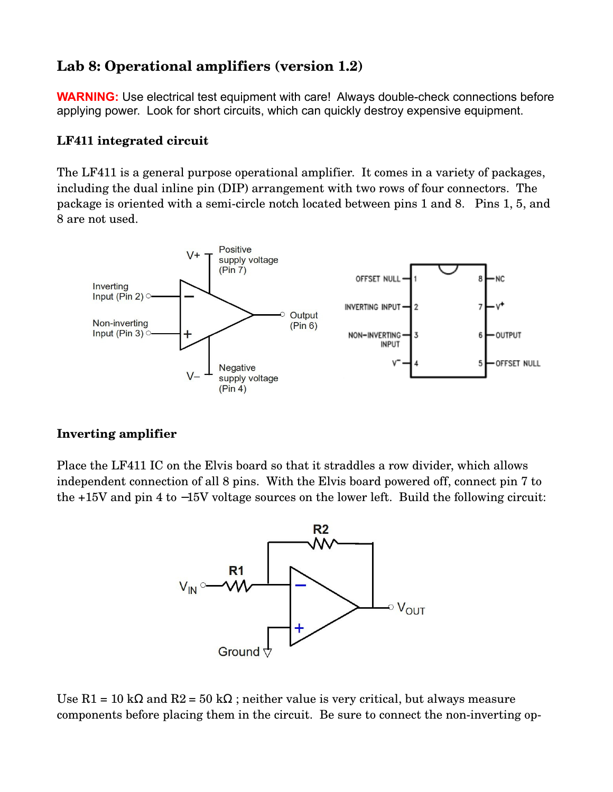# **Lab 8: Operational amplifiers (version 1.2)**

**WARNING:** Use electrical test equipment with care! Always double-check connections before applying power. Look for short circuits, which can quickly destroy expensive equipment.

## **LF411 integrated circuit**

The LF411 is a general purpose operational amplifier. It comes in a variety of packages, including the dual inline pin (DIP) arrangement with two rows of four connectors. The package is oriented with a semi-circle notch located between pins 1 and 8. Pins 1, 5, and 8 are not used.



### **Inverting amplifier**

Place the LF411 IC on the Elvis board so that it straddles a row divider, which allows independent connection of all 8 pins. With the Elvis board powered off, connect pin 7 to the +15V and pin 4 to −15V voltage sources on the lower left. Build the following circuit:



Use R1 = 10 kΩ and R2 = 50 kΩ; neither value is very critical, but always measure components before placing them in the circuit. Be sure to connect the non-inverting op-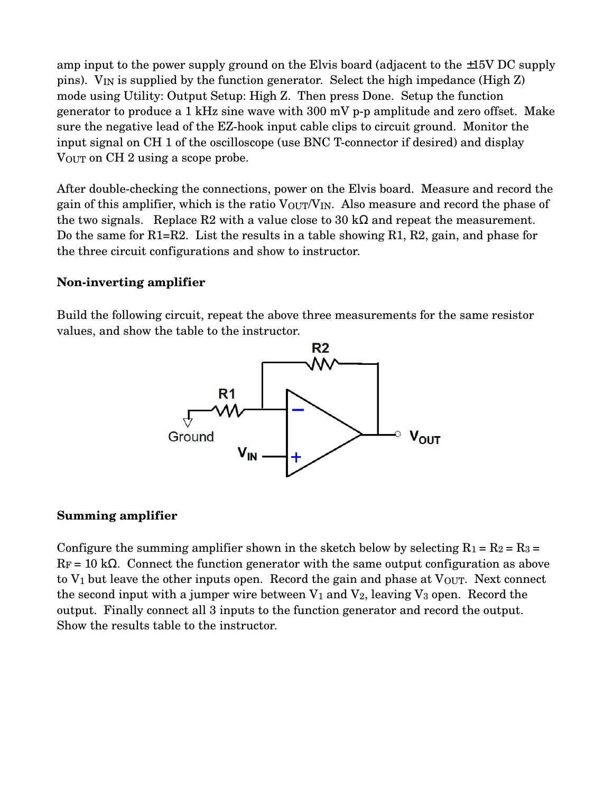amp input to the power supply ground on the Elvis board (adjacent to the ±15V DC supply pins). VIN is supplied by the function generator. Select the high impedance (High Z) mode using Utility: Output Setup: High Z. Then press Done. Setup the function generator to produce a 1 kHz sine wave with  $300 \text{ mV}$  p-p amplitude and zero offset. Make sure the negative lead of the EZ-hook input cable clips to circuit ground. Monitor the input signal on CH 1 of the oscilloscope (use BNC T-connector if desired) and display VOUT on CH 2 using a scope probe.

After double-checking the connections, power on the Elvis board. Measure and record the gain of this amplifier, which is the ratio VOUT/VIN. Also measure and record the phase of the two signals. Replace R2 with a value close to 30 kΩ and repeat the measurement. Do the same for R1=R2. List the results in a table showing R1, R2, gain, and phase for the three circuit configurations and show to instructor.

#### **Noninverting amplifier**

Build the following circuit, repeat the above three measurements for the same resistor values, and show the table to the instructor.



#### **Summing amplifier**

Configure the summing amplifier shown in the sketch below by selecting  $R_1 = R_2 = R_3 =$  $R_F = 10 \text{ k}\Omega$ . Connect the function generator with the same output configuration as above to  $V_1$  but leave the other inputs open. Record the gain and phase at  $V_{\text{OUT}}$ . Next connect the second input with a jumper wire between  $V_1$  and  $V_2$ , leaving  $V_3$  open. Record the output. Finally connect all 3 inputs to the function generator and record the output. Show the results table to the instructor.